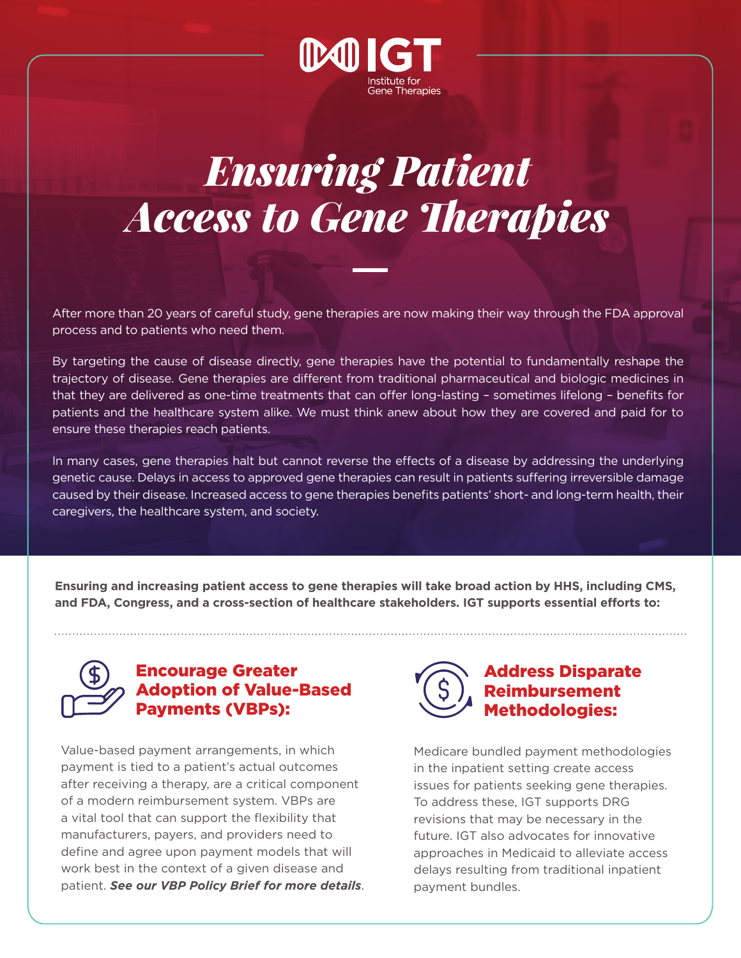

# *Ensuring Patient Access to Gene Therapies*

After more than 20 years of careful study, gene therapies are now making their way through the FDA approval process and to patients who need them.

By targeting the cause of disease directly, gene therapies have the potential to fundamentally reshape the trajectory of disease. Gene therapies are different from traditional pharmaceutical and biologic medicines in that they are delivered as one-time treatments that can offer long-lasting – sometimes lifelong – benefits for patients and the healthcare system alike. We must think anew about how they are covered and paid for to ensure these therapies reach patients.

In many cases, gene therapies halt but cannot reverse the effects of a disease by addressing the underlying genetic cause. Delays in access to approved gene therapies can result in patients suffering irreversible damage caused by their disease. Increased access to gene therapies benefits patients' short- and long-term health, their caregivers, the healthcare system, and society.

**Ensuring and increasing patient access to gene therapies will take broad action by HHS, including CMS, and FDA, Congress, and a cross-section of healthcare stakeholders. IGT supports essential efforts to:** 



#### Encourage Greater Adoption of Value-Based Payments (VBPs):

Value-based payment arrangements, in which payment is tied to a patient's actual outcomes after receiving a therapy, are a critical component of a modern reimbursement system. VBPs are a vital tool that can support the flexibility that manufacturers, payers, and providers need to define and agree upon payment models that will work best in the context of a given disease and patient. *See our VBP Policy Brief for more details*.



Medicare bundled payment methodologies in the inpatient setting create access issues for patients seeking gene therapies. To address these, IGT supports DRG revisions that may be necessary in the future. IGT also advocates for innovative approaches in Medicaid to alleviate access delays resulting from traditional inpatient payment bundles.